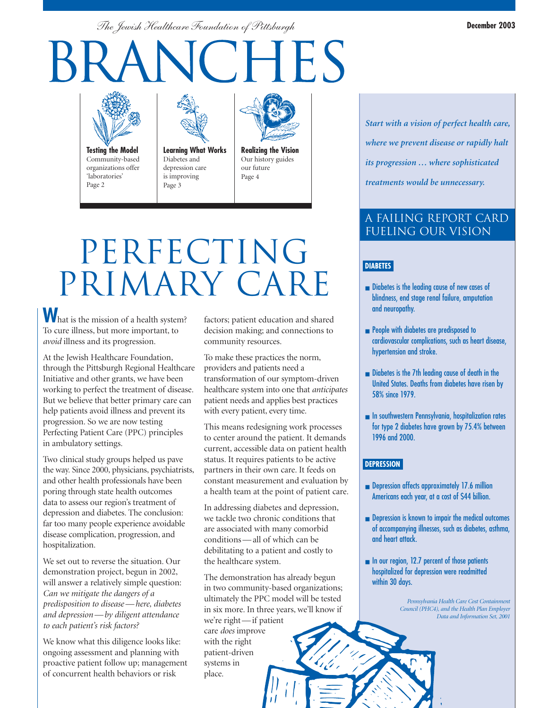*The Jewish Healthcare Foundation of Pittsburgh*

# **VCHES**



**Testing the Model** Community-based organizations offer 'laboratories' Page 2



**Learning What Works** Diabetes and depression care is improving Page 3



Our history guides our future Page 4

### PERFECTING PRIMARY CARE

**W**hat is the mission of a health system? To cure illness, but more important, to *avoid* illness and its progression.

At the Jewish Healthcare Foundation, through the Pittsburgh Regional Healthcare Initiative and other grants, we have been working to perfect the treatment of disease. But we believe that better primary care can help patients avoid illness and prevent its progression. So we are now testing Perfecting Patient Care (PPC) principles in ambulatory settings.

Two clinical study groups helped us pave the way. Since 2000, physicians, psychiatrists, and other health professionals have been poring through state health outcomes data to assess our region's treatment of depression and diabetes. The conclusion: far too many people experience avoidable disease complication, progression, and hospitalization.

We set out to reverse the situation. Our demonstration project, begun in 2002, will answer a relatively simple question: *Can we mitigate the dangers of a predisposition to disease — here, diabetes and depression — by diligent attendance to each patient's risk factors?*

We know what this diligence looks like: ongoing assessment and planning with proactive patient follow up; management of concurrent health behaviors or risk

factors; patient education and shared decision making; and connections to community resources.

To make these practices the norm, providers and patients need a transformation of our symptom-driven healthcare system into one that *anticipates* patient needs and applies best practices with every patient, every time.

This means redesigning work processes to center around the patient. It demands current, accessible data on patient health status. It requires patients to be active partners in their own care. It feeds on constant measurement and evaluation by a health team at the point of patient care.

In addressing diabetes and depression, we tackle two chronic conditions that are associated with many comorbid conditions — all of which can be debilitating to a patient and costly to the healthcare system.

The demonstration has already begun in two community-based organizations; ultimately the PPC model will be tested in six more. In three years, we'll know if we're right — if patient care *does* improve with the right patient-driven systems in place.

*Start with a vision of perfect health care, where we prevent disease or rapidly halt its progression … where sophisticated treatments would be unnecessary.*

#### A Failing Report Card Fueling Our Vision

#### **DIABETES**

- Diabetes is the leading cause of new cases of blindness, end stage renal failure, amputation and neuropathy.
- People with diabetes are predisposed to cardiovascular complications, such as heart disease, hypertension and stroke.
- Diabetes is the 7th leading cause of death in the United States. Deaths from diabetes have risen by 58% since 1979.
- In southwestern Pennsylvania, hospitalization rates for type 2 diabetes have grown by 75.4% between 1996 and 2000.

#### **DEPRESSION**

- Depression affects approximately 17.6 million Americans each year, at a cost of \$44 billion.
- Depression is known to impair the medical outcomes of accompanying illnesses, such as diabetes, asthma, and heart attack.
- In our region, 12.7 percent of those patients hospitalized for depression were readmitted within 30 days.

*Pennsylvania Health Care Cost Containment Council (PHC4), and the Health Plan Employer Data and Information Set, 2001*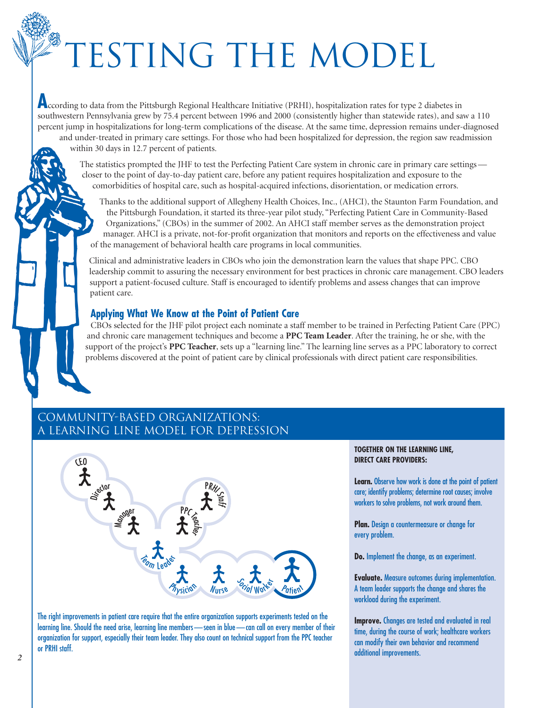## **ESTING THE MODEL**

**A**ccording to data from the Pittsburgh Regional Healthcare Initiative (PRHI), hospitalization rates for type 2 diabetes in southwestern Pennsylvania grew by 75.4 percent between 1996 and 2000 (consistently higher than statewide rates), and saw a 110 percent jump in hospitalizations for long-term complications of the disease. At the same time, depression remains under-diagnosed and under-treated in primary care settings. For those who had been hospitalized for depression, the region saw readmission within 30 days in 12.7 percent of patients.

The statistics prompted the JHF to test the Perfecting Patient Care system in chronic care in primary care settings closer to the point of day-to-day patient care, before any patient requires hospitalization and exposure to the comorbidities of hospital care, such as hospital-acquired infections, disorientation, or medication errors.

Thanks to the additional support of Allegheny Health Choices, Inc., (AHCI), the Staunton Farm Foundation, and the Pittsburgh Foundation, it started its three-year pilot study, "Perfecting Patient Care in Community-Based Organizations," (CBOs) in the summer of 2002. An AHCI staff member serves as the demonstration project manager. AHCI is a private, not-for-profit organization that monitors and reports on the effectiveness and value of the management of behavioral health care programs in local communities.

Clinical and administrative leaders in CBOs who join the demonstration learn the values that shape PPC. CBO leadership commit to assuring the necessary environment for best practices in chronic care management. CBO leaders support a patient-focused culture. Staff is encouraged to identify problems and assess changes that can improve patient care.

#### **Applying What We Know at the Point of Patient Care**

CBOs selected for the JHF pilot project each nominate a staff member to be trained in Perfecting Patient Care (PPC) and chronic care management techniques and become a **PPC Team Leader**. After the training, he or she, with the support of the project's **PPC Teacher**, sets up a "learning line." The learning line serves as a PPC laboratory to correct problems discovered at the point of patient care by clinical professionals with direct patient care responsibilities.

#### Community-Based Organizations: A Learning Line Model for Depression



The right improvements in patient care require that the entire organization supports experiments tested on the learning line. Should the need arise, learning line members - seen in blue - can call on every member of their organization for support, especially their team leader. They also count on technical support from the PPC teacher or PRHI staff.

#### **TOGETHER ON THE LEARNING LINE, DIRECT CARE PROVIDERS:**

**Learn.** Observe how work is done at the point of patient care; identify problems; determine root causes; involve workers to solve problems, not work around them.

**Plan.** Design a countermeasure or change for every problem.

**Do.** Implement the change, as an experiment.

**Evaluate.** Measure outcomes during implementation. A team leader supports the change and shares the workload during the experiment.

**Improve.** Changes are tested and evaluated in real time, during the course of work; healthcare workers can modify their own behavior and recommend additional improvements.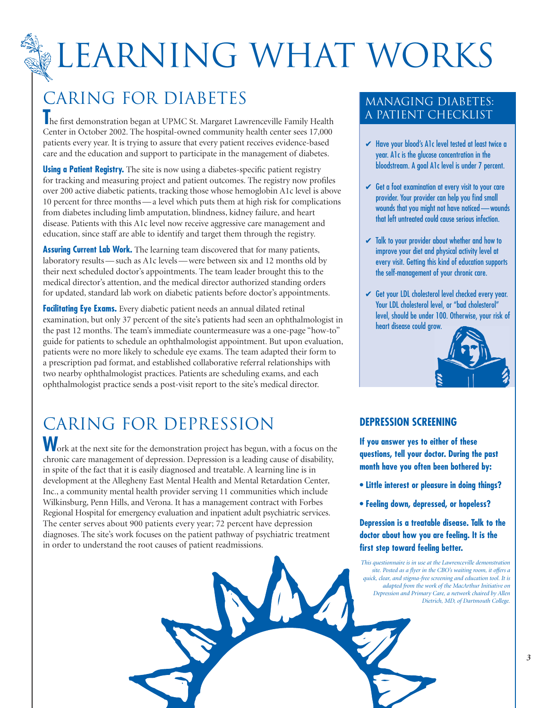## LEARNING WHAT WORKS

### CARING FOR DIABETES

**The first demonstration began at UPMC St. Margaret Lawrenceville Family Health** Center in October 2002. The hospital-owned community health center sees 17,000 patients every year. It is trying to assure that every patient receives evidence-based care and the education and support to participate in the management of diabetes.

**Using a Patient Registry.** The site is now using a diabetes-specific patient registry for tracking and measuring project and patient outcomes. The registry now profiles over 200 active diabetic patients, tracking those whose hemoglobin A1c level is above 10 percent for three months — a level which puts them at high risk for complications from diabetes including limb amputation, blindness, kidney failure, and heart disease. Patients with this A1c level now receive aggressive care management and education, since staff are able to identify and target them through the registry.

**Assuring Current Lab Work.** The learning team discovered that for many patients, laboratory results — such as A1c levels — were between six and 12 months old by their next scheduled doctor's appointments. The team leader brought this to the medical director's attention, and the medical director authorized standing orders for updated, standard lab work on diabetic patients before doctor's appointments.

**Facilitating Eye Exams.** Every diabetic patient needs an annual dilated retinal examination, but only 37 percent of the site's patients had seen an ophthalmologist in the past 12 months. The team's immediate countermeasure was a one-page "how-to" guide for patients to schedule an ophthalmologist appointment. But upon evaluation, patients were no more likely to schedule eye exams. The team adapted their form to a prescription pad format, and established collaborative referral relationships with two nearby ophthalmologist practices. Patients are scheduling exams, and each ophthalmologist practice sends a post-visit report to the site's medical director.

### CARING FOR DEPRESSION

**W**ork at the next site for the demonstration project has begun, with a focus on the chronic care management of depression. Depression is a leading cause of disability, in spite of the fact that it is easily diagnosed and treatable. A learning line is in development at the Allegheny East Mental Health and Mental Retardation Center, Inc., a community mental health provider serving 11 communities which include Wilkinsburg, Penn Hills, and Verona. It has a management contract with Forbes Regional Hospital for emergency evaluation and inpatient adult psychiatric services. The center serves about 900 patients every year; 72 percent have depression diagnoses. The site's work focuses on the patient pathway of psychiatric treatment in order to understand the root causes of patient readmissions.

#### Managing Diabetes: A Patient Checklist

- ✔ Have your blood's A1c level tested at least twice a year. A1c is the glucose concentration in the bloodstream. A goal A1c level is under 7 percent.
- $\checkmark$  Get a foot examination at every visit to your care provider. Your provider can help you find small wounds that you might not have noticed — wounds that left untreated could cause serious infection.
- $\checkmark$  Talk to your provider about whether and how to improve your diet and physical activity level at every visit. Getting this kind of education supports the self-management of your chronic care.
- Get your LDL cholesterol level checked every year. Your LDL cholesterol level, or "bad cholesterol" level, should be under 100. Otherwise, your risk of heart disease could grow.



#### **DEPRESSION SCREENING**

**If you answer yes to either of these questions, tell your doctor. During the past month have you often been bothered by:**

- **Little interest or pleasure in doing things?**
- **Feeling down, depressed, or hopeless?**

**Depression is a treatable disease. Talk to the doctor about how you are feeling. It is the first step toward feeling better.**

*This questionnaire is in use at the Lawrenceville demonstration site. Posted as a flyer in the CBO's waiting room, it offers a quick, clear, and stigma-free screening and education tool. It is adapted from the work of the MacArthur Initiative on Depression and Primary Care, a network chaired by Allen Dietrich, MD, of Dartmouth College.*